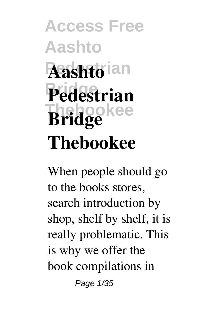# **Access Free Aashto Pedestrian Aashto Bridge Pedestrian Thebookee Bridge Thebookee**

When people should go to the books stores, search introduction by shop, shelf by shelf, it is really problematic. This is why we offer the book compilations in Page 1/35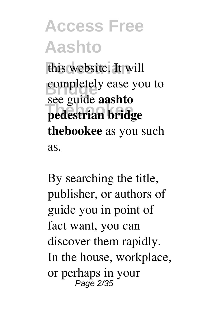# **Access Free Aashto** this website. It will

completely ease you to **Thebookee pedestrian bridge** see guide **aashto thebookee** as you such as.

By searching the title, publisher, or authors of guide you in point of fact want, you can discover them rapidly. In the house, workplace, or perhaps in your Page 2/35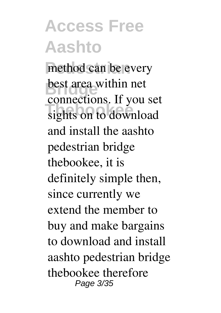method can be every **best area within net Theorem School**<br>sights on to download connections. If you set and install the aashto pedestrian bridge thebookee, it is definitely simple then, since currently we extend the member to buy and make bargains to download and install aashto pedestrian bridge thebookee therefore Page 3/35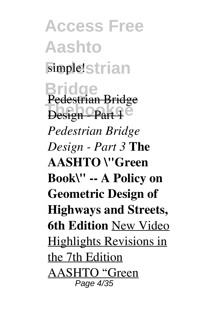**Access Free Aashto** simple!strian **Bridge** Pedestrian Bridge **Design - Part 1** *Pedestrian Bridge Design - Part 3* **The AASHTO \"Green Book\" -- A Policy on Geometric Design of Highways and Streets, 6th Edition** New Video Highlights Revisions in the 7th Edition AASHTO "Green Page 4/35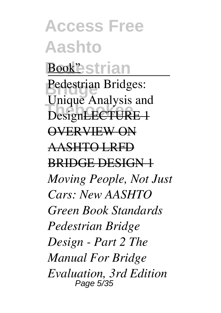**Access Free Aashto** Book<sup>"</sup>estrian **Bridge** Pedestrian Bridges: **DesignLECTURE 1** Unique Analysis and OVERVIEW ON AASHTO LRFD BRIDGE DESIGN 1 *Moving People, Not Just Cars: New AASHTO Green Book Standards Pedestrian Bridge Design - Part 2 The Manual For Bridge Evaluation, 3rd Edition* Page 5/35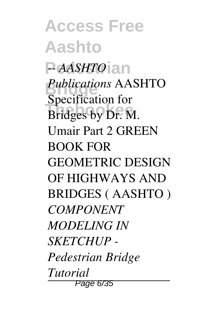**Access Free Aashto** P*AASHTO*<sup>a</sup>n **Bridge** *Publications* AASHTO **Thebookee** Bridges by Dr. M. Specification for Umair Part 2 GREEN BOOK FOR GEOMETRIC DESIGN OF HIGHWAYS AND BRIDGES ( AASHTO ) *COMPONENT MODELING IN SKETCHUP - Pedestrian Bridge Tutorial* Page 6/35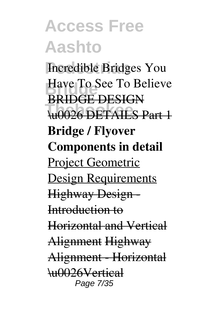**Incredible Bridges You Have To See To Believe Thebookee** \u0026 DETAILS Part 1 BRIDGE DESIGN **Bridge / Flyover Components in detail** Project Geometric Design Requirements Highway Design - Introduction to Horizontal and Vertical Alignment Highway Alignment - Horizontal \u0026Vertical Page 7/35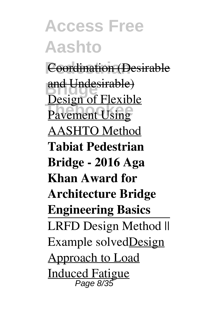**Access Free Aashto Pedestrian** Coordination (Desirable and Undesirable) **Pavement Using** Design of Flexible AASHTO Method **Tabiat Pedestrian Bridge - 2016 Aga Khan Award for Architecture Bridge Engineering Basics** LRFD Design Method || Example solvedDesign Approach to Load Induced Fatigue Page 8/35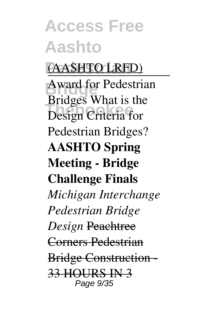#### **Pedestrian** (AASHTO LRFD)

**Award for Pedestrian There**<br>Design Criteria for Bridges What is the Pedestrian Bridges? **AASHTO Spring Meeting - Bridge Challenge Finals** *Michigan Interchange Pedestrian Bridge Design* Peachtree Corners Pedestrian Bridge Construction - 33 HOURS IN 3 Page 9/35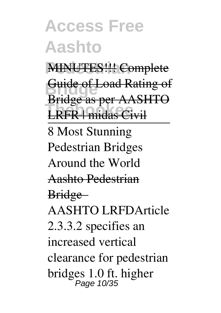**MINUTES!!! Complete Bridge** Guide of Load Rating of **These** as per rimer Bridge as per AASHTO 8 Most Stunning Pedestrian Bridges Around the World Aashto Pedestrian Bridge AASHTO LRFDArticle 2.3.3.2 specifies an increased vertical clearance for pedestrian bridges 1.0 ft. higher Page 10/35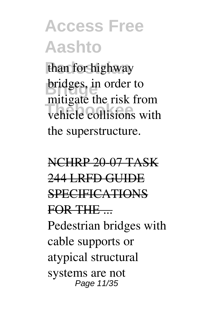than for highway **bridges**, in order to **The Collisions** with mitigate the risk from the superstructure.

NCHRP 20-07 TASK 244 LRFD GUIDE **SPECIFICATIONS** FOR THE ... Pedestrian bridges with cable supports or atypical structural systems are not Page 11/35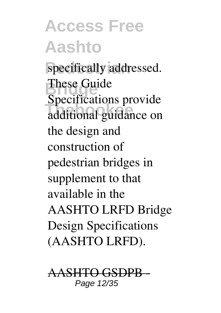specifically addressed. **These Guide Thebookee** additional guidance on Specifications provide the design and construction of pedestrian bridges in supplement to that available in the AASHTO LRFD Bridge Design Specifications (AASHTO LRFD).

AASHTO GSDPB - Page 12/35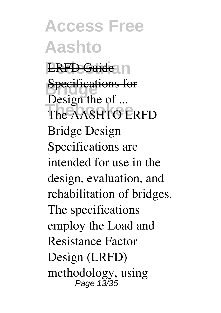**Access Free Aashto LRFD Guide** In **Specifications for** The AASHTO LRFD Design the of ... Bridge Design Specifications are intended for use in the design, evaluation, and rehabilitation of bridges. The specifications employ the Load and Resistance Factor Design (LRFD) methodology, using Page 13/35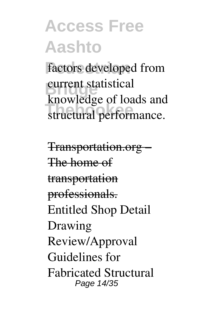factors developed from **Bridge**<br> **Bridge**<br>
contract and the **The breege** of reads and knowledge of loads and

Transportation.org – The home of transportation professionals. Entitled Shop Detail Drawing Review/Approval Guidelines for Fabricated Structural Page 14/35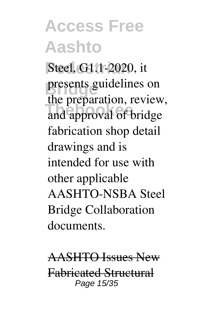**Steel, G1.1-2020, it** presents guidelines on and approval of bridge the preparation, review, fabrication shop detail drawings and is intended for use with other applicable AASHTO-NSBA Steel Bridge Collaboration documents.

AASHTO Issues New Fabricated Structural Page 15/35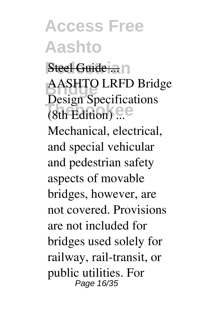**Access Free Aashto Steel Guide ...** n

**Bridge** AASHTO LRFD Bridge **Theory of Specifical** Design Specifications

Mechanical, electrical, and special vehicular and pedestrian safety aspects of movable bridges, however, are not covered. Provisions are not included for bridges used solely for railway, rail-transit, or public utilities. For Page 16/35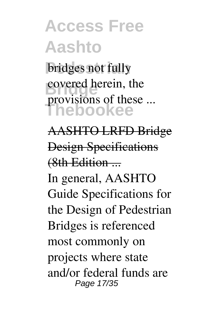**bridges** not fully covered herein, the **Thebookee** provisions of these ...

AASHTO LRFD Bridge Design Specifications (8th Edition ...

In general, AASHTO Guide Specifications for the Design of Pedestrian Bridges is referenced most commonly on projects where state and/or federal funds are Page 17/35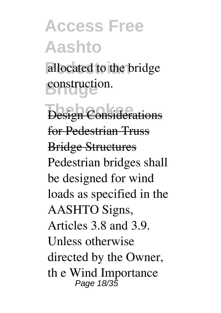allocated to the bridge **Bridge** construction.

**Design Considerations** for Pedestrian Truss Bridge Structures Pedestrian bridges shall be designed for wind loads as specified in the AASHTO Signs, Articles 3.8 and 3.9. Unless otherwise directed by the Owner, th e Wind Importance Page 18/35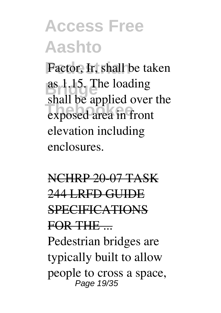Factor, Ir, shall be taken **Bridge** as 1.15. The loading **Exposed** area in front shall be applied over the elevation including enclosures.

NCHRP 20-07 TASK 244 LRFD GUIDE **SPECIFICATIONS** FOR THE ... Pedestrian bridges are typically built to allow people to cross a space,

Page 19/35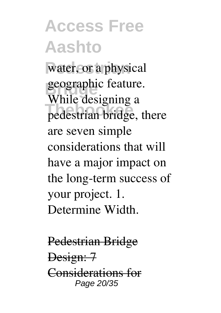water, or a physical geographic feature. **The designing** a While designing a are seven simple considerations that will have a major impact on the long-term success of your project. 1. Determine Width.

Pedestrian Bridge Design: 7 Considerations for Page 20/35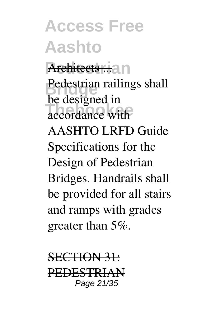#### **Access Free Aashto** Architects ... an Pedestrian railings shall **Theorem Execution** be designed in AASHTO LRFD Guide Specifications for the Design of Pedestrian Bridges. Handrails shall be provided for all stairs and ramps with grades greater than 5%.

SECTION 31: PEDESTRIAN Page 21/35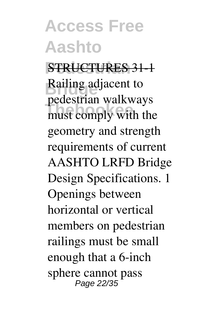**Pedestrian** STRUCTURES 31-1 **Railing adjacent to** must comply with the pedestrian walkways geometry and strength requirements of current AASHTO LRFD Bridge Design Specifications. 1 Openings between horizontal or vertical members on pedestrian railings must be small enough that a 6-inch sphere cannot pass Page 22/35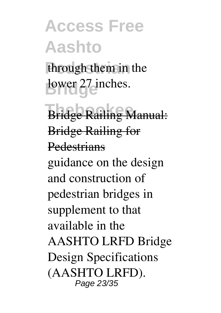through them in the lower 27 inches.

**Bridge Railing Manual:** Bridge Railing for **Pedestrians** 

guidance on the design and construction of pedestrian bridges in supplement to that available in the AASHTO LRFD Bridge Design Specifications (AASHTO LRFD). Page 23/35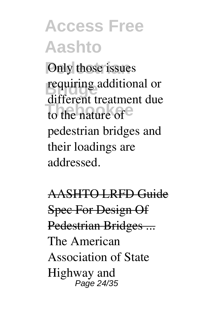**Poly** those issues **requiring additional or** to the nature of different treatment due pedestrian bridges and their loadings are addressed.

AASHTO LRFD Guide Spec For Design Of Pedestrian Bridges ... The American Association of State Highway and Page 24/35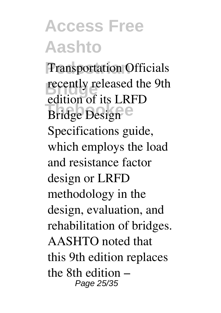**Transportation Officials recently released the 9th Theory** of the End edition of its LRFD Specifications guide, which employs the load and resistance factor design or LRFD methodology in the design, evaluation, and rehabilitation of bridges. AASHTO noted that this 9th edition replaces the 8th edition – Page 25/35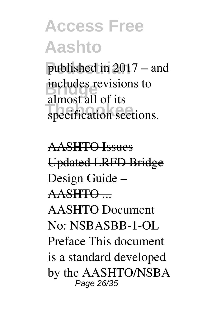published in 2017 – and **includes** revisions to specification sections. almost all of its

AASHTO Issues Updated LRFD Bridge Design Guide – AASHTO ... AASHTO Document No: NSBASBB-1-OL Preface This document is a standard developed by the AASHTO/NSBA Page 26/35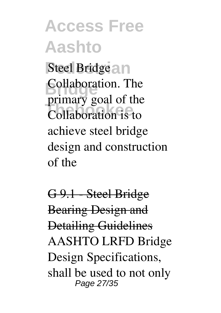**Access Free Aashto Steel Bridge and Bridge**<br>Brimary goal of the **Thebookee** Collaboration is to Collaboration. The achieve steel bridge design and construction of the

G 9.1 - Steel Bridge Bearing Design and Detailing Guidelines AASHTO LRFD Bridge Design Specifications, shall be used to not only Page 27/35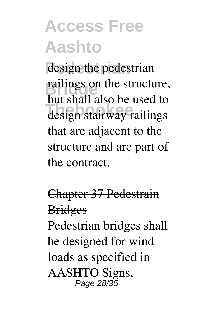design the pedestrian railings on the structure, **The stair and see also to**<br>design stairway railings but shall also be used to that are adjacent to the structure and are part of the contract.

#### Chapter 37 Pedestrain **Bridges**

Pedestrian bridges shall be designed for wind loads as specified in AASHTO Signs, Page 28/35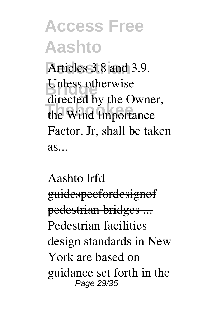Articles 3.8 and 3.9. Unless otherwise the Wind Importance directed by the Owner, Factor, Jr, shall be taken  $as...$ 

Aashto lrfd guidespecfordesignof pedestrian bridges ... Pedestrian facilities design standards in New York are based on guidance set forth in the Page 29/35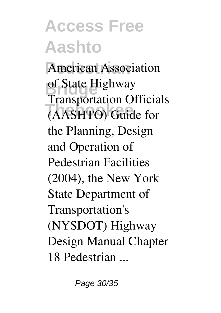**American Association** of State Highway **Thebookee** (AASHTO) Guide for Transportation Officials the Planning, Design and Operation of Pedestrian Facilities (2004), the New York State Department of Transportation's (NYSDOT) Highway Design Manual Chapter 18 Pedestrian ...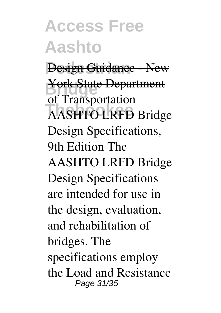**Design Guidance - New** York State Department **Thebookee** AASHTO LRFD Bridge of Transportation Design Specifications, 9th Edition The AASHTO LRFD Bridge Design Specifications are intended for use in the design, evaluation, and rehabilitation of bridges. The specifications employ the Load and Resistance Page 31/35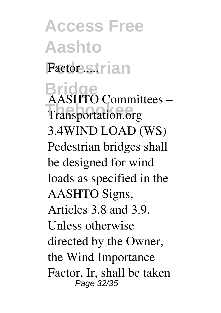**Access Free Aashto Factor strian** 

**Bridge Thebookee** Transportation.org AASHTO Committees – 3.4WIND LOAD (WS) Pedestrian bridges shall be designed for wind loads as specified in the AASHTO Signs, Articles 3.8 and 3.9. Unless otherwise directed by the Owner, the Wind Importance Factor, Ir, shall be taken Page 32/35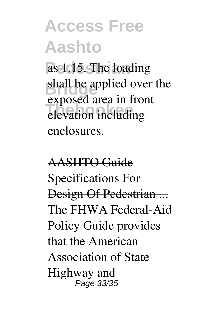as 1.15. The loading shall be applied over the **Thebookee** elevation including exposed area in front enclosures.

AASHTO Guide Specifications For Design Of Pedestrian ... The FHWA Federal-Aid Policy Guide provides that the American Association of State Highway and Page 33/35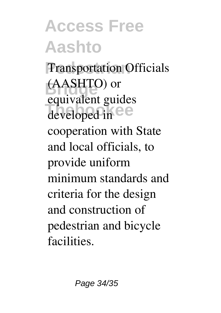**Transportation Officials Bridge** (AASHTO) or developed in  $ee$ equivalent guides cooperation with State and local officials, to provide uniform minimum standards and criteria for the design and construction of pedestrian and bicycle **facilities**